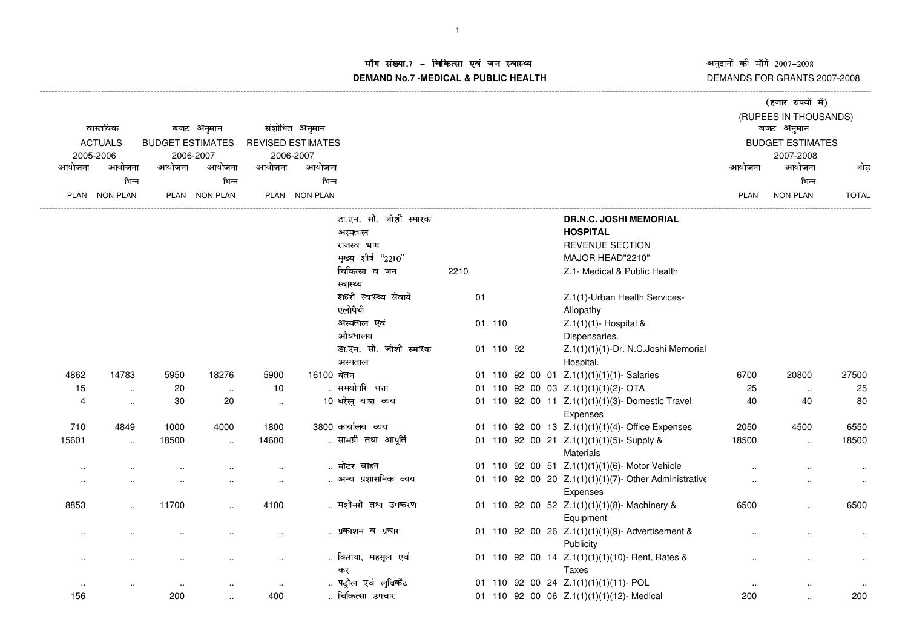अनुदानों की माँगें 2007–2008<br>DEMANDS FOR GRANTS 2007-2008

## ाँग संख्या.7 – चिकित्सा एवं जन स्वास्थ्य<br>IAND N- 7 MEDIOAL 8 DUDLIO-UEALTIL **DEMAND No.7 -MEDICAL & PUBLIC HEALTH**

|                                         |                 |                                       |                      |                          |                |                            |      |    |           |  |                                                              | (हजार रुपयों में)     |                         |              |  |
|-----------------------------------------|-----------------|---------------------------------------|----------------------|--------------------------|----------------|----------------------------|------|----|-----------|--|--------------------------------------------------------------|-----------------------|-------------------------|--------------|--|
|                                         |                 |                                       |                      |                          |                |                            |      |    |           |  |                                                              | (RUPEES IN THOUSANDS) |                         |              |  |
| वास्तविक<br><b>ACTUALS</b><br>2005-2006 |                 | बजट अनुमान<br><b>BUDGET ESTIMATES</b> |                      |                          | संशोधित अनुमान |                            |      |    |           |  |                                                              |                       | बजट अनुमान              |              |  |
|                                         |                 |                                       |                      | <b>REVISED ESTIMATES</b> |                |                            |      |    |           |  |                                                              |                       | <b>BUDGET ESTIMATES</b> |              |  |
|                                         |                 |                                       | 2006-2007            | 2006-2007                |                |                            |      |    |           |  |                                                              | 2007-2008             |                         |              |  |
| आयोजना                                  | आयोजना          | आयोजना                                | आयोजना               | आयोजना                   | आयोजना         |                            |      |    |           |  |                                                              | आयोजना                | आयोजना                  | जोड़         |  |
|                                         | भिन्न           |                                       | भिन्न                |                          | भिन्न          |                            |      |    |           |  |                                                              |                       | भिन्न                   |              |  |
| PLAN                                    | <b>NON-PLAN</b> |                                       | PLAN NON-PLAN        |                          | PLAN NON-PLAN  |                            |      |    |           |  |                                                              | PLAN                  | NON-PLAN                | <b>TOTAL</b> |  |
|                                         |                 |                                       |                      |                          |                | डा.एन. सी. जोशी स्मारक     |      |    |           |  | <b>DR.N.C. JOSHI MEMORIAL</b>                                |                       |                         |              |  |
|                                         |                 |                                       |                      |                          |                | अस्पताल                    |      |    |           |  | <b>HOSPITAL</b>                                              |                       |                         |              |  |
|                                         |                 |                                       |                      |                          |                | राजस्व भाग                 |      |    |           |  | REVENUE SECTION                                              |                       |                         |              |  |
|                                         |                 |                                       |                      |                          |                | मुख्य शीर्ष "2210"         |      |    |           |  | MAJOR HEAD"2210"                                             |                       |                         |              |  |
|                                         |                 |                                       |                      |                          |                | चिकित्सा व जन<br>स्वास्थ्य | 2210 |    |           |  | Z.1- Medical & Public Health                                 |                       |                         |              |  |
|                                         |                 |                                       |                      |                          |                | शहरी स्वास्थ्य सेवायें     |      | 01 |           |  | Z.1(1)-Urban Health Services-                                |                       |                         |              |  |
|                                         |                 |                                       |                      |                          |                | एलोपैथी                    |      |    |           |  | Allopathy                                                    |                       |                         |              |  |
|                                         |                 |                                       |                      |                          |                | अस्पताल एवं                |      |    | 01 110    |  | Z.1(1)(1)- Hospital &                                        |                       |                         |              |  |
|                                         |                 |                                       |                      |                          |                | औषधालय                     |      |    |           |  | Dispensaries.                                                |                       |                         |              |  |
|                                         |                 |                                       |                      |                          |                | डा.एन. सी. जोशी स्मारक     |      |    | 01 110 92 |  | Z.1(1)(1)(1)-Dr. N.C.Joshi Memorial                          |                       |                         |              |  |
|                                         |                 |                                       |                      |                          |                | अस्पताल                    |      |    |           |  | Hospital.                                                    |                       |                         |              |  |
| 4862                                    | 14783           | 5950                                  | 18276                | 5900                     | 16100 वेतन     |                            |      |    |           |  | 01 110 92 00 01 Z.1(1)(1)(1)(1)- Salaries                    | 6700                  | 20800                   | 27500        |  |
| 15                                      | $\ldots$        | 20                                    | $\ldots$             | 10                       |                | समयोपरि भत्ता              |      |    |           |  | 01 110 92 00 03 Z.1(1)(1)(1)(2)-OTA                          | 25                    | $\sim$                  | 25           |  |
| $\overline{4}$                          | $\cdot$ .       | 30                                    | 20                   | $\sim$                   |                | 10 घरेलू यात्रा व्यय       |      |    |           |  | 01 110 92 00 11 Z.1(1)(1)(1)(3)- Domestic Travel<br>Expenses | 40                    | 40                      | 80           |  |
| 710                                     | 4849            | 1000                                  | 4000                 | 1800                     |                | 3800 कार्यालय व्यय         |      |    |           |  | 01 110 92 00 13 Z.1(1)(1)(1)(4)-Office Expenses              | 2050                  | 4500                    | 6550         |  |
| 15601                                   | $\ddotsc$       | 18500                                 | $\ddot{\phantom{a}}$ | 14600                    |                | सामग्री तथा आपूर्ति        |      |    |           |  | 01 110 92 00 21 Z.1(1)(1)(1)(5)-Supply &                     | 18500                 |                         | 18500        |  |
|                                         |                 |                                       |                      |                          |                |                            |      |    |           |  | Materials                                                    |                       |                         |              |  |
| $\ddotsc$                               |                 |                                       |                      |                          |                | मोटर वाहन                  |      |    |           |  | 01 110 92 00 51 Z.1(1)(1)(1)(6)- Motor Vehicle               |                       |                         | $\ddotsc$    |  |
| $\ddotsc$                               |                 |                                       | $\ddotsc$            | $\ddotsc$                |                | अन्य प्रशासनिक व्यय        |      |    |           |  | 01 110 92 00 20 Z.1(1)(1)(1)(7)- Other Administrative        |                       |                         | $\ddotsc$    |  |
|                                         |                 |                                       |                      |                          |                |                            |      |    |           |  | Expenses                                                     |                       |                         |              |  |
| 8853                                    |                 | 11700                                 |                      | 4100                     |                | मशीनरी तथा उपकरण           |      |    |           |  | 01 110 92 00 52 Z.1(1)(1)(1)(8)- Machinery &                 | 6500                  | $\ddot{\phantom{a}}$    | 6500         |  |
|                                         |                 |                                       |                      |                          |                |                            |      |    |           |  | Equipment                                                    |                       |                         |              |  |
|                                         |                 |                                       |                      |                          |                | प्रकाशन व प्रचार           |      |    |           |  | 01 110 92 00 26 Z.1(1)(1)(1)(9)- Advertisement &             |                       |                         |              |  |
|                                         |                 |                                       |                      |                          |                |                            |      |    |           |  | Publicity                                                    |                       |                         |              |  |
|                                         |                 |                                       |                      |                          |                | किराया, महसूल एवं          |      |    |           |  | 01 110 92 00 14 Z.1(1)(1)(1)(10)- Rent, Rates &              |                       |                         |              |  |
|                                         |                 |                                       |                      |                          |                | कर                         |      |    |           |  | Taxes                                                        |                       |                         |              |  |
|                                         |                 |                                       |                      | $\ddotsc$                |                | पट्रोल एवं लुब्रिकेंट      |      |    |           |  | 01 110 92 00 24 Z.1(1)(1)(1)(11)- POL                        |                       |                         |              |  |
| 156                                     |                 | 200                                   |                      | 400                      |                | चिकित्सा उपचार             |      |    |           |  | 01 110 92 00 06 Z.1(1)(1)(1)(12)- Medical                    | 200                   | $\ddotsc$               | 200          |  |
|                                         |                 |                                       |                      |                          |                |                            |      |    |           |  |                                                              |                       |                         |              |  |

----------------------------------------------------------------------------------------------------------------------------------------------------------------------------------------------------------------------------------------------------------------------------------------------